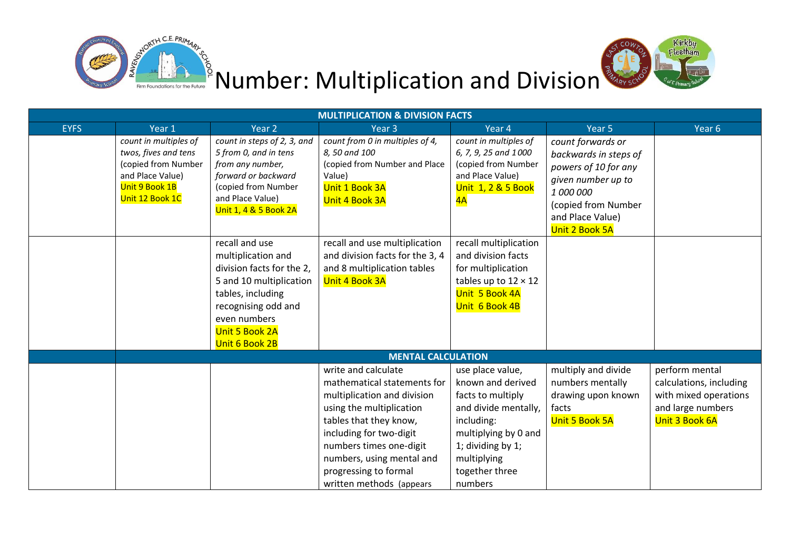



| <b>MULTIPLICATION &amp; DIVISION FACTS</b> |                                                                                                                               |                                                                                                                                                                                              |                                                                                                                                                                                                                                                                                 |                                                                                                                                                                                           |                                                                                                                                                                    |                                                                                                           |  |  |  |
|--------------------------------------------|-------------------------------------------------------------------------------------------------------------------------------|----------------------------------------------------------------------------------------------------------------------------------------------------------------------------------------------|---------------------------------------------------------------------------------------------------------------------------------------------------------------------------------------------------------------------------------------------------------------------------------|-------------------------------------------------------------------------------------------------------------------------------------------------------------------------------------------|--------------------------------------------------------------------------------------------------------------------------------------------------------------------|-----------------------------------------------------------------------------------------------------------|--|--|--|
| <b>EYFS</b>                                | Year 1                                                                                                                        | Year 2                                                                                                                                                                                       | Year <sub>3</sub>                                                                                                                                                                                                                                                               | Year 4                                                                                                                                                                                    | Year 5                                                                                                                                                             | Year 6                                                                                                    |  |  |  |
|                                            | count in multiples of<br>twos, fives and tens<br>(copied from Number<br>and Place Value)<br>Unit 9 Book 1B<br>Unit 12 Book 1C | count in steps of 2, 3, and<br>5 from 0, and in tens<br>from any number,<br>forward or backward<br>(copied from Number<br>and Place Value)<br>Unit 1, 4 & 5 Book 2A                          | count from 0 in multiples of 4,<br>8,50 and 100<br>(copied from Number and Place<br>Value)<br>Unit 1 Book 3A<br>Unit 4 Book 3A                                                                                                                                                  | count in multiples of<br>6, 7, 9, 25 and 1000<br>(copied from Number<br>and Place Value)<br>Unit 1, 2 & 5 Book<br>4A                                                                      | count forwards or<br>backwards in steps of<br>powers of 10 for any<br>given number up to<br>1 000 000<br>(copied from Number<br>and Place Value)<br>Unit 2 Book 5A |                                                                                                           |  |  |  |
|                                            |                                                                                                                               | recall and use<br>multiplication and<br>division facts for the 2,<br>5 and 10 multiplication<br>tables, including<br>recognising odd and<br>even numbers<br>Unit 5 Book 2A<br>Unit 6 Book 2B | recall and use multiplication<br>and division facts for the 3, 4<br>and 8 multiplication tables<br>Unit 4 Book 3A                                                                                                                                                               | recall multiplication<br>and division facts<br>for multiplication<br>tables up to $12 \times 12$<br>Unit 5 Book 4A<br>Unit 6 Book 4B                                                      |                                                                                                                                                                    |                                                                                                           |  |  |  |
|                                            |                                                                                                                               |                                                                                                                                                                                              | <b>MENTAL CALCULATION</b>                                                                                                                                                                                                                                                       |                                                                                                                                                                                           |                                                                                                                                                                    |                                                                                                           |  |  |  |
|                                            |                                                                                                                               |                                                                                                                                                                                              | write and calculate<br>mathematical statements for<br>multiplication and division<br>using the multiplication<br>tables that they know,<br>including for two-digit<br>numbers times one-digit<br>numbers, using mental and<br>progressing to formal<br>written methods (appears | use place value,<br>known and derived<br>facts to multiply<br>and divide mentally,<br>including:<br>multiplying by 0 and<br>1; dividing by 1;<br>multiplying<br>together three<br>numbers | multiply and divide<br>numbers mentally<br>drawing upon known<br>facts<br>Unit 5 Book 5A                                                                           | perform mental<br>calculations, including<br>with mixed operations<br>and large numbers<br>Unit 3 Book 6A |  |  |  |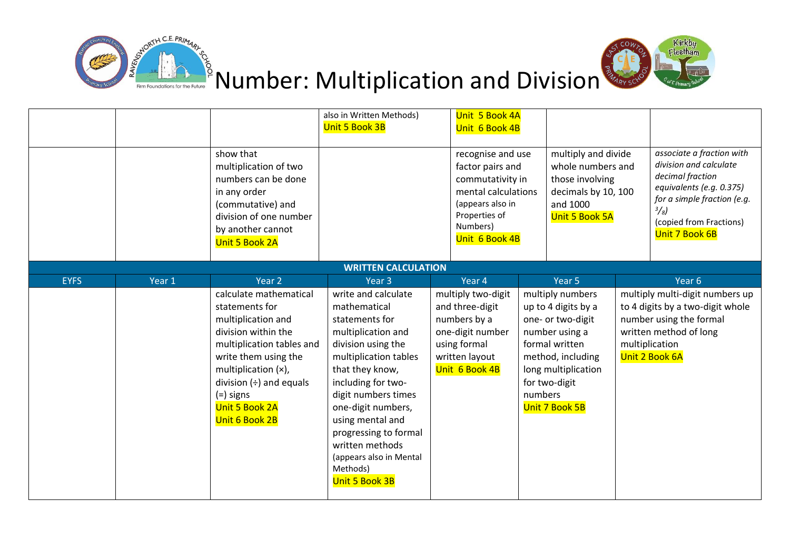



|             |        |                                                                                                                                                                                                                                                             | also in Written Methods)<br>Unit 5 Book 3B                                                                                                                                                                                                                                                                                                       | Unit 5 Book 4A<br>Unit 6 Book 4B                                                                                                                    |         |                                                                                                                                                                                 |                                                                                                                                                                                                  |
|-------------|--------|-------------------------------------------------------------------------------------------------------------------------------------------------------------------------------------------------------------------------------------------------------------|--------------------------------------------------------------------------------------------------------------------------------------------------------------------------------------------------------------------------------------------------------------------------------------------------------------------------------------------------|-----------------------------------------------------------------------------------------------------------------------------------------------------|---------|---------------------------------------------------------------------------------------------------------------------------------------------------------------------------------|--------------------------------------------------------------------------------------------------------------------------------------------------------------------------------------------------|
|             |        | show that<br>multiplication of two<br>numbers can be done<br>in any order<br>(commutative) and<br>division of one number<br>by another cannot<br>Unit 5 Book 2A                                                                                             |                                                                                                                                                                                                                                                                                                                                                  | recognise and use<br>factor pairs and<br>commutativity in<br>mental calculations<br>(appears also in<br>Properties of<br>Numbers)<br>Unit 6 Book 4B |         | multiply and divide<br>whole numbers and<br>those involving<br>decimals by 10, 100<br>and 1000<br>Unit 5 Book 5A                                                                | associate a fraction with<br>division and calculate<br>decimal fraction<br>equivalents (e.g. 0.375)<br>for a simple fraction (e.g.<br>$\frac{3}{8}$<br>(copied from Fractions)<br>Unit 7 Book 6B |
|             |        |                                                                                                                                                                                                                                                             | <b>WRITTEN CALCULATION</b>                                                                                                                                                                                                                                                                                                                       |                                                                                                                                                     |         |                                                                                                                                                                                 |                                                                                                                                                                                                  |
| <b>EYFS</b> | Year 1 | Year <sub>2</sub>                                                                                                                                                                                                                                           | Year <sub>3</sub>                                                                                                                                                                                                                                                                                                                                | Year 4                                                                                                                                              |         | Year <sub>5</sub>                                                                                                                                                               | Year 6                                                                                                                                                                                           |
|             |        | calculate mathematical<br>statements for<br>multiplication and<br>division within the<br>multiplication tables and<br>write them using the<br>multiplication (x),<br>division $(\div)$ and equals<br>$(=)$ signs<br><b>Unit 5 Book 2A</b><br>Unit 6 Book 2B | write and calculate<br>mathematical<br>statements for<br>multiplication and<br>division using the<br>multiplication tables<br>that they know,<br>including for two-<br>digit numbers times<br>one-digit numbers,<br>using mental and<br>progressing to formal<br>written methods<br>(appears also in Mental<br>Methods)<br><b>Unit 5 Book 3B</b> | multiply two-digit<br>and three-digit<br>numbers by a<br>one-digit number<br>using formal<br>written layout<br>Unit 6 Book 4B                       | numbers | multiply numbers<br>up to 4 digits by a<br>one- or two-digit<br>number using a<br>formal written<br>method, including<br>long multiplication<br>for two-digit<br>Unit 7 Book 5B | multiply multi-digit numbers up<br>to 4 digits by a two-digit whole<br>number using the formal<br>written method of long<br>multiplication<br>Unit 2 Book 6A                                     |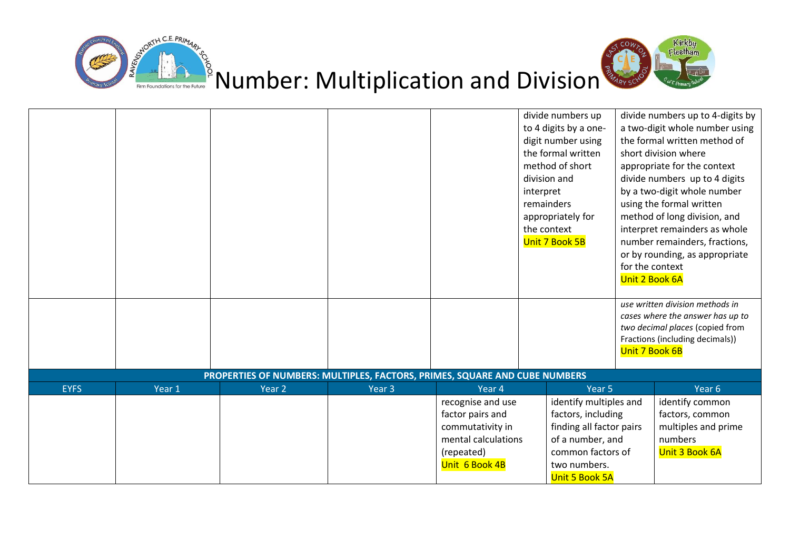



|             |        |                                                                            |                   |                                                                                                                  | divide numbers up<br>to 4 digits by a one-<br>digit number using<br>the formal written<br>method of short<br>division and<br>interpret<br>remainders<br>appropriately for<br>the context<br>Unit 7 Book 5B | for the context<br>Unit 2 Book 6A<br>Unit 7 Book 6B | divide numbers up to 4-digits by<br>a two-digit whole number using<br>the formal written method of<br>short division where<br>appropriate for the context<br>divide numbers up to 4 digits<br>by a two-digit whole number<br>using the formal written<br>method of long division, and<br>interpret remainders as whole<br>number remainders, fractions,<br>or by rounding, as appropriate<br>use written division methods in<br>cases where the answer has up to<br>two decimal places (copied from<br>Fractions (including decimals)) |
|-------------|--------|----------------------------------------------------------------------------|-------------------|------------------------------------------------------------------------------------------------------------------|------------------------------------------------------------------------------------------------------------------------------------------------------------------------------------------------------------|-----------------------------------------------------|----------------------------------------------------------------------------------------------------------------------------------------------------------------------------------------------------------------------------------------------------------------------------------------------------------------------------------------------------------------------------------------------------------------------------------------------------------------------------------------------------------------------------------------|
|             |        | PROPERTIES OF NUMBERS: MULTIPLES, FACTORS, PRIMES, SQUARE AND CUBE NUMBERS |                   |                                                                                                                  |                                                                                                                                                                                                            |                                                     |                                                                                                                                                                                                                                                                                                                                                                                                                                                                                                                                        |
| <b>EYFS</b> | Year 1 | Year 2                                                                     | Year <sub>3</sub> | Year 4                                                                                                           | Year 5                                                                                                                                                                                                     |                                                     | Year 6                                                                                                                                                                                                                                                                                                                                                                                                                                                                                                                                 |
|             |        |                                                                            |                   | recognise and use<br>factor pairs and<br>commutativity in<br>mental calculations<br>(repeated)<br>Unit 6 Book 4B | identify multiples and<br>factors, including<br>finding all factor pairs<br>of a number, and<br>common factors of<br>two numbers.<br>Unit 5 Book 5A                                                        |                                                     | identify common<br>factors, common<br>multiples and prime<br>numbers<br>Unit 3 Book 6A                                                                                                                                                                                                                                                                                                                                                                                                                                                 |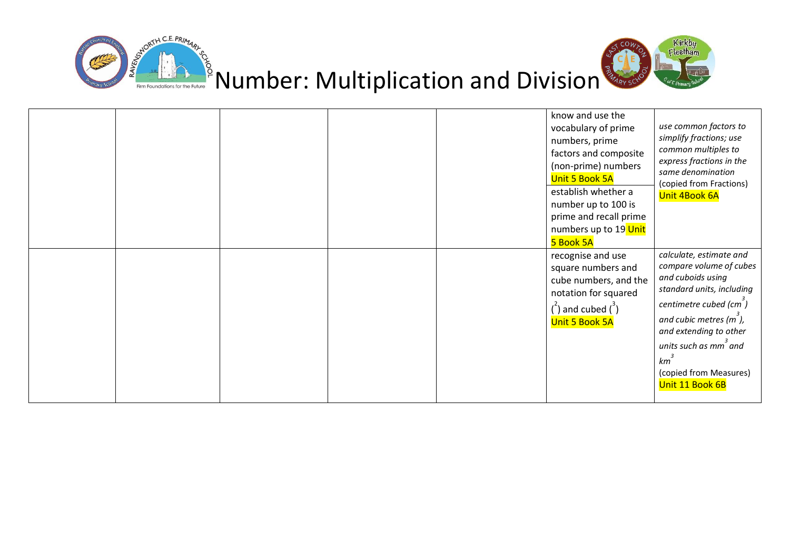



|  |  | know and use the<br>vocabulary of prime<br>numbers, prime<br>factors and composite<br>(non-prime) numbers<br><b>Unit 5 Book 5A</b><br>establish whether a<br>number up to 100 is<br>prime and recall prime<br>numbers up to 19 Unit<br>5 Book 5A | use common factors to<br>simplify fractions; use<br>common multiples to<br>express fractions in the<br>same denomination<br>(copied from Fractions)<br><b>Unit 4Book 6A</b>                                                                                                                |
|--|--|--------------------------------------------------------------------------------------------------------------------------------------------------------------------------------------------------------------------------------------------------|--------------------------------------------------------------------------------------------------------------------------------------------------------------------------------------------------------------------------------------------------------------------------------------------|
|  |  | recognise and use<br>square numbers and<br>cube numbers, and the<br>notation for squared<br>$\binom{2}{1}$ and cubed $\binom{3}{1}$<br>Unit 5 Book 5A                                                                                            | calculate, estimate and<br>compare volume of cubes<br>and cuboids using<br>standard units, including<br>centimetre cubed (cm <sup>3</sup> )<br>and cubic metres $(m3)$ ,<br>and extending to other<br>units such as mm <sup>3</sup> and<br>km<br>(copied from Measures)<br>Unit 11 Book 6B |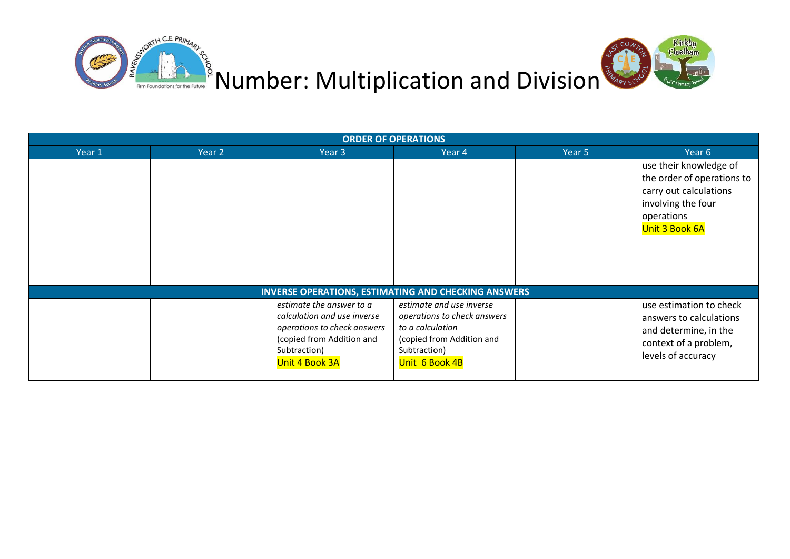

| <b>ORDER OF OPERATIONS</b> |        |                                                                                                                                                       |                                                                                                                                            |        |                                                                                                                                             |  |  |  |  |
|----------------------------|--------|-------------------------------------------------------------------------------------------------------------------------------------------------------|--------------------------------------------------------------------------------------------------------------------------------------------|--------|---------------------------------------------------------------------------------------------------------------------------------------------|--|--|--|--|
| Year 1                     | Year 2 | Year 3                                                                                                                                                | Year 4                                                                                                                                     | Year 5 | Year 6                                                                                                                                      |  |  |  |  |
|                            |        |                                                                                                                                                       |                                                                                                                                            |        | use their knowledge of<br>the order of operations to<br>carry out calculations<br>involving the four<br>operations<br><b>Unit 3 Book 6A</b> |  |  |  |  |
|                            |        |                                                                                                                                                       | <b>INVERSE OPERATIONS, ESTIMATING AND CHECKING ANSWERS</b>                                                                                 |        |                                                                                                                                             |  |  |  |  |
|                            |        | estimate the answer to a<br>calculation and use inverse<br>operations to check answers<br>(copied from Addition and<br>Subtraction)<br>Unit 4 Book 3A | estimate and use inverse<br>operations to check answers<br>to a calculation<br>(copied from Addition and<br>Subtraction)<br>Unit 6 Book 4B |        | use estimation to check<br>answers to calculations<br>and determine, in the<br>context of a problem,<br>levels of accuracy                  |  |  |  |  |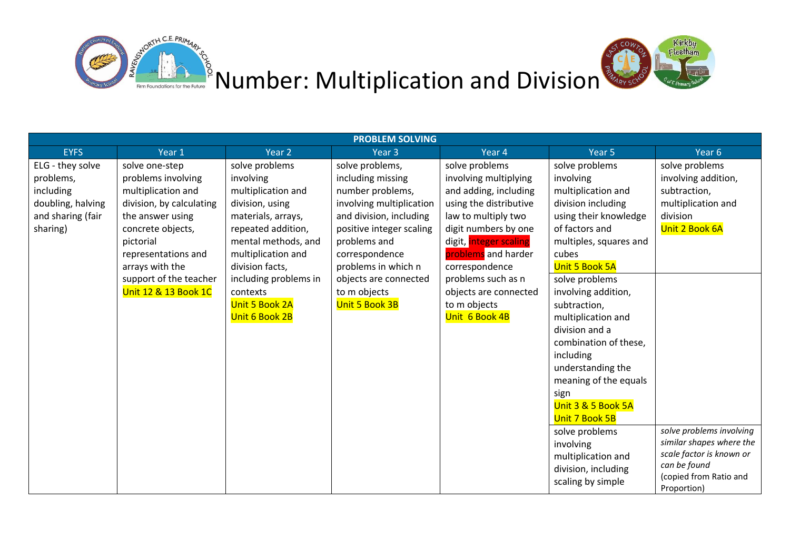



| <b>PROBLEM SOLVING</b> |                          |                       |                          |                        |                        |                                                      |  |  |
|------------------------|--------------------------|-----------------------|--------------------------|------------------------|------------------------|------------------------------------------------------|--|--|
| <b>EYFS</b>            | Year 1                   | Year 2                | Year <sub>3</sub>        | Year 4                 | Year 5                 | Year 6                                               |  |  |
| ELG - they solve       | solve one-step           | solve problems        | solve problems,          | solve problems         | solve problems         | solve problems                                       |  |  |
| problems,              | problems involving       | involving             | including missing        | involving multiplying  | involving              | involving addition,                                  |  |  |
| including              | multiplication and       | multiplication and    | number problems,         | and adding, including  | multiplication and     | subtraction,                                         |  |  |
| doubling, halving      | division, by calculating | division, using       | involving multiplication | using the distributive | division including     | multiplication and                                   |  |  |
| and sharing (fair      | the answer using         | materials, arrays,    | and division, including  | law to multiply two    | using their knowledge  | division                                             |  |  |
| sharing)               | concrete objects,        | repeated addition,    | positive integer scaling | digit numbers by one   | of factors and         | Unit 2 Book 6A                                       |  |  |
|                        | pictorial                | mental methods, and   | problems and             | digit, integer scaling | multiples, squares and |                                                      |  |  |
|                        | representations and      | multiplication and    | correspondence           | problems and harder    | cubes                  |                                                      |  |  |
|                        | arrays with the          | division facts,       | problems in which n      | correspondence         | Unit 5 Book 5A         |                                                      |  |  |
|                        | support of the teacher   | including problems in | objects are connected    | problems such as n     | solve problems         |                                                      |  |  |
|                        | Unit 12 & 13 Book 1C     | contexts              | to m objects             | objects are connected  | involving addition,    |                                                      |  |  |
|                        |                          | <b>Unit 5 Book 2A</b> | <b>Unit 5 Book 3B</b>    | to m objects           | subtraction,           |                                                      |  |  |
|                        |                          | Unit 6 Book 2B        |                          | Unit 6 Book 4B         | multiplication and     |                                                      |  |  |
|                        |                          |                       |                          |                        | division and a         |                                                      |  |  |
|                        |                          |                       |                          |                        | combination of these,  |                                                      |  |  |
|                        |                          |                       |                          |                        | including              |                                                      |  |  |
|                        |                          |                       |                          |                        | understanding the      |                                                      |  |  |
|                        |                          |                       |                          |                        | meaning of the equals  |                                                      |  |  |
|                        |                          |                       |                          |                        | sign                   |                                                      |  |  |
|                        |                          |                       |                          |                        | Unit 3 & 5 Book 5A     |                                                      |  |  |
|                        |                          |                       |                          |                        | Unit 7 Book 5B         |                                                      |  |  |
|                        |                          |                       |                          |                        | solve problems         | solve problems involving                             |  |  |
|                        |                          |                       |                          |                        | involving              | similar shapes where the<br>scale factor is known or |  |  |
|                        |                          |                       |                          |                        | multiplication and     | can be found                                         |  |  |
|                        |                          |                       |                          |                        | division, including    | (copied from Ratio and                               |  |  |
|                        |                          |                       |                          |                        | scaling by simple      | Proportion)                                          |  |  |